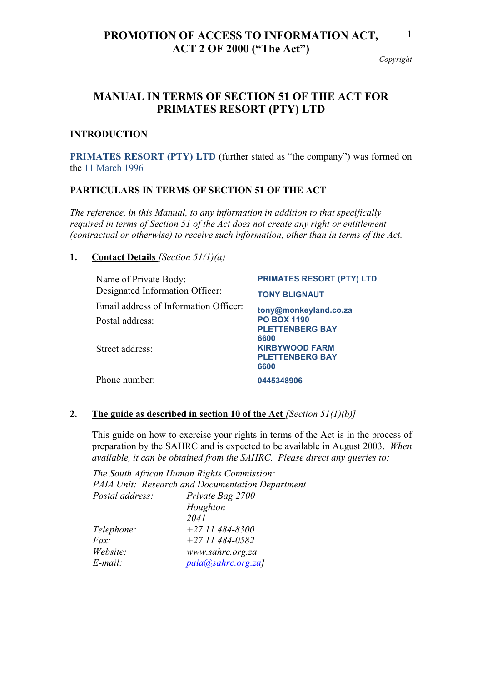#### *Copyright*

# **MANUAL IN TERMS OF SECTION 51 OF THE ACT FOR PRIMATES RESORT (PTY) LTD**

## **INTRODUCTION**

**PRIMATES RESORT (PTY) LTD (further stated as "the company") was formed on** the 11 March 1996

## **PARTICULARS IN TERMS OF SECTION 51 OF THE ACT**

*The reference, in this Manual, to any information in addition to that specifically required in terms of Section 51 of the Act does not create any right or entitlement (contractual or otherwise) to receive such information, other than in terms of the Act.* 

**1. Contact Details** *[Section 51(1)(a)* 

| Name of Private Body:                 | <b>PRIMATES RESORT (PTY) LTD</b> |
|---------------------------------------|----------------------------------|
| Designated Information Officer:       | <b>TONY BLIGNAUT</b>             |
| Email address of Information Officer: | tony@monkeyland.co.za            |
| Postal address:                       | <b>PO BOX 1190</b>               |
|                                       | <b>PLETTENBERG BAY</b><br>6600   |
| Street address:                       | <b>KIRBYWOOD FARM</b>            |
|                                       | <b>PLETTENBERG BAY</b><br>6600   |
| Phone number:                         |                                  |
|                                       | 0445348906                       |

## **2. The guide as described in section 10 of the Act** *[Section 51(1)(b)]*

This guide on how to exercise your rights in terms of the Act is in the process of preparation by the SAHRC and is expected to be available in August 2003. *When available, it can be obtained from the SAHRC. Please direct any queries to:* 

*The South African Human Rights Commission: PAIA Unit: Research and Documentation Department Postal address: Private Bag 2700 Houghton 2041 Telephone: +27 11 484-8300 Fax: +27 11 484-0582 Website: www.sahrc.org.za E-mail: paia@sahrc.org.za]*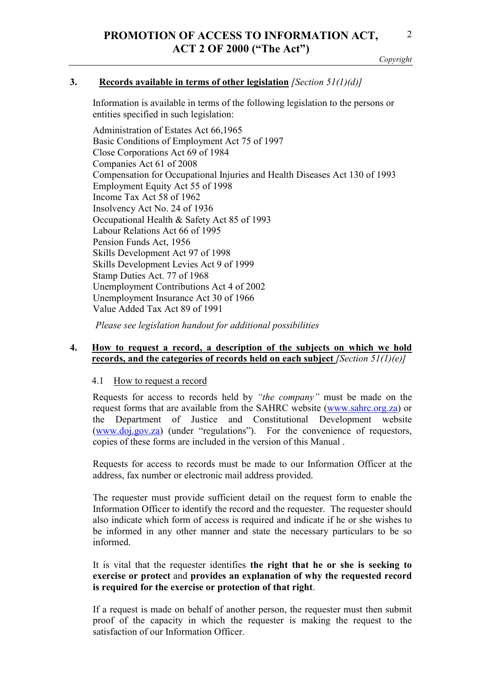*Copyright* 

## **3. Records available in terms of other legislation** *[Section 51(1)(d)]*

Information is available in terms of the following legislation to the persons or entities specified in such legislation:

Administration of Estates Act 66,1965 Basic Conditions of Employment Act 75 of 1997 Close Corporations Act 69 of 1984 Companies Act 61 of 2008 Compensation for Occupational Injuries and Health Diseases Act 130 of 1993 Employment Equity Act 55 of 1998 Income Tax Act 58 of 1962 Insolvency Act No. 24 of 1936 Occupational Health & Safety Act 85 of 1993 Labour Relations Act 66 of 1995 Pension Funds Act, 1956 Skills Development Act 97 of 1998 Skills Development Levies Act 9 of 1999 Stamp Duties Act. 77 of 1968 Unemployment Contributions Act 4 of 2002 Unemployment Insurance Act 30 of 1966 Value Added Tax Act 89 of 1991

*Please see legislation handout for additional possibilities* 

## **4. How to request a record, a description of the subjects on which we hold records, and the categories of records held on each subject** *[Section 51(1)(e)]*

#### 4.1 How to request a record

Requests for access to records held by *"the company"* must be made on the request forms that are available from the SAHRC website (www.sahrc.org.za) or the Department of Justice and Constitutional Development website (www.doj.gov.za) (under "regulations"). For the convenience of requestors, copies of these forms are included in the version of this Manual .

Requests for access to records must be made to our Information Officer at the address, fax number or electronic mail address provided.

The requester must provide sufficient detail on the request form to enable the Information Officer to identify the record and the requester. The requester should also indicate which form of access is required and indicate if he or she wishes to be informed in any other manner and state the necessary particulars to be so informed.

It is vital that the requester identifies **the right that he or she is seeking to exercise or protect** and **provides an explanation of why the requested record is required for the exercise or protection of that right**.

If a request is made on behalf of another person, the requester must then submit proof of the capacity in which the requester is making the request to the satisfaction of our Information Officer.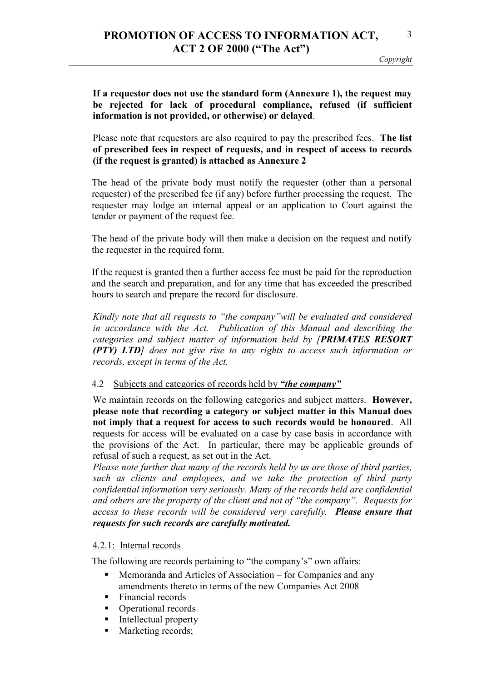## **If a requestor does not use the standard form (Annexure 1), the request may be rejected for lack of procedural compliance, refused (if sufficient information is not provided, or otherwise) or delayed**.

Please note that requestors are also required to pay the prescribed fees. **The list of prescribed fees in respect of requests, and in respect of access to records (if the request is granted) is attached as Annexure 2** 

The head of the private body must notify the requester (other than a personal requester) of the prescribed fee (if any) before further processing the request. The requester may lodge an internal appeal or an application to Court against the tender or payment of the request fee.

The head of the private body will then make a decision on the request and notify the requester in the required form.

If the request is granted then a further access fee must be paid for the reproduction and the search and preparation, and for any time that has exceeded the prescribed hours to search and prepare the record for disclosure.

*Kindly note that all requests to "the company"will be evaluated and considered in accordance with the Act. Publication of this Manual and describing the categories and subject matter of information held by [PRIMATES RESORT (PTY) LTD] does not give rise to any rights to access such information or records, except in terms of the Act.* 

## 4.2 Subjects and categories of records held by *"the company"*

We maintain records on the following categories and subject matters. **However, please note that recording a category or subject matter in this Manual does not imply that a request for access to such records would be honoured**. All requests for access will be evaluated on a case by case basis in accordance with the provisions of the Act. In particular, there may be applicable grounds of refusal of such a request, as set out in the Act.

*Please note further that many of the records held by us are those of third parties, such as clients and employees, and we take the protection of third party confidential information very seriously. Many of the records held are confidential and others are the property of the client and not of "the company". Requests for access to these records will be considered very carefully. Please ensure that requests for such records are carefully motivated.* 

## 4.2.1: Internal records

The following are records pertaining to "the company's" own affairs:

- Memoranda and Articles of Association for Companies and any amendments thereto in terms of the new Companies Act 2008
- Financial records
- Operational records
- **Intellectual property**
- Marketing records;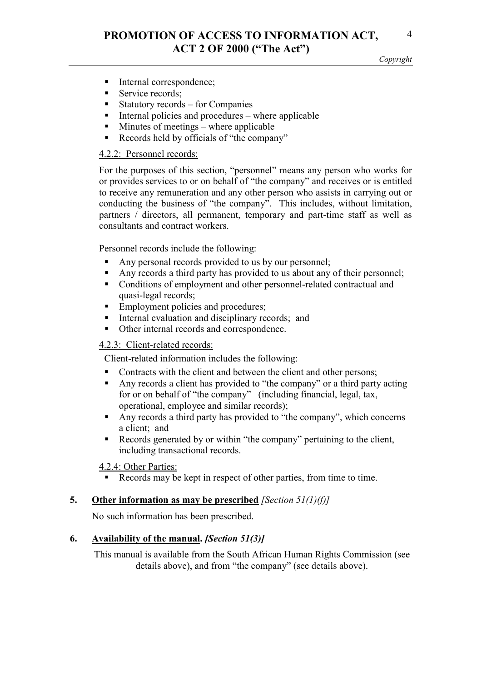- Internal correspondence;
- Service records;
- Statutory records for Companies
- $\blacksquare$  Internal policies and procedures where applicable
- Minutes of meetings where applicable
- Records held by officials of "the company"

## 4.2.2: Personnel records:

For the purposes of this section, "personnel" means any person who works for or provides services to or on behalf of "the company" and receives or is entitled to receive any remuneration and any other person who assists in carrying out or conducting the business of "the company". This includes, without limitation, partners / directors, all permanent, temporary and part-time staff as well as consultants and contract workers.

Personnel records include the following:

- Any personal records provided to us by our personnel;
- Any records a third party has provided to us about any of their personnel;
- Conditions of employment and other personnel-related contractual and quasi-legal records;
- Employment policies and procedures;
- Internal evaluation and disciplinary records; and
- Other internal records and correspondence.

## 4.2.3: Client-related records:

Client-related information includes the following:

- Contracts with the client and between the client and other persons;
- Any records a client has provided to "the company" or a third party acting for or on behalf of "the company"(including financial, legal, tax, operational, employee and similar records);
- Any records a third party has provided to "the company", which concerns a client; and
- Records generated by or within "the company" pertaining to the client, including transactional records.

## 4.2.4: Other Parties:

Records may be kept in respect of other parties, from time to time.

## **5. Other information as may be prescribed** *[Section 51(1)(f)]*

No such information has been prescribed.

## **6. Availability of the manual.** *[Section 51(3)]*

This manual is available from the South African Human Rights Commission (see details above), and from "the company" (see details above).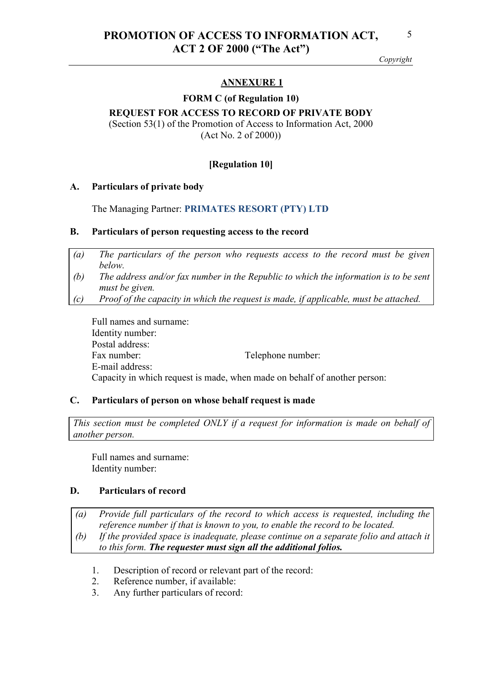## **ANNEXURE 1**

#### **FORM C (of Regulation 10)**

## **REQUEST FOR ACCESS TO RECORD OF PRIVATE BODY**

(Section 53(1) of the Promotion of Access to Information Act, 2000 (Act No. 2 of 2000))

## **[Regulation 10]**

#### **A. Particulars of private body**

The Managing Partner: **PRIMATES RESORT (PTY) LTD**

#### **B. Particulars of person requesting access to the record**

- *(a) The particulars of the person who requests access to the record must be given below.*
- *(b) The address and/or fax number in the Republic to which the information is to be sent must be given.*
- *(c) Proof of the capacity in which the request is made, if applicable, must be attached.*

Full names and surname: Identity number: Postal address: Fax number: Telephone number: E-mail address: Capacity in which request is made, when made on behalf of another person:

## **C. Particulars of person on whose behalf request is made**

*This section must be completed ONLY if a request for information is made on behalf of another person.*

Full names and surname: Identity number:

## **D. Particulars of record**

*(a) Provide full particulars of the record to which access is requested, including the reference number if that is known to you, to enable the record to be located. (b) If the provided space is inadequate, please continue on a separate folio and attach it to this form. The requester must sign all the additional folios.*

- 1. Description of record or relevant part of the record:
- 2. Reference number, if available:
- 3. Any further particulars of record: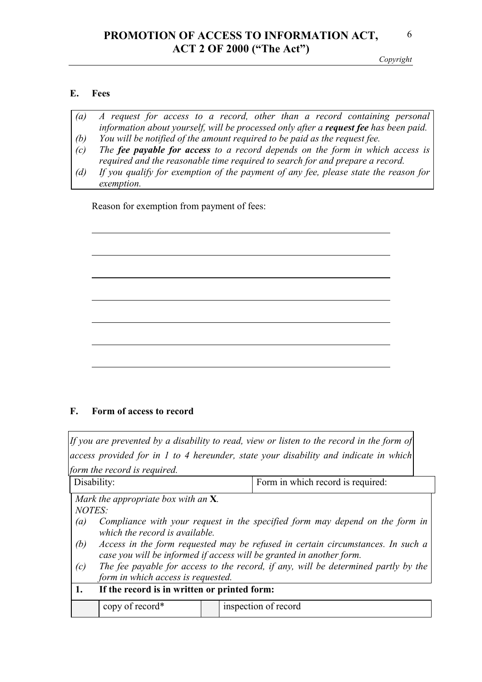# **PROMOTION OF ACCESS TO INFORMATION ACT, ACT 2 OF 2000 ("The Act")**

*Copyright* 

## **E. Fees**

 $\overline{a}$ 

*exemption.*

| $\left(a\right)$ | A request for access to a record, other than a record containing personal                        |
|------------------|--------------------------------------------------------------------------------------------------|
|                  | information about yourself, will be processed only after a <b>request fee</b> has been paid. $ $ |
| (b)              | You will be notified of the amount required to be paid as the request fee.                       |
| (c)              | The <b>fee payable for access</b> to a record depends on the form in which access is             |
|                  | required and the reasonable time required to search for and prepare a record.                    |
| (d)              | If you qualify for exemption of the payment of any fee, please state the reason for              |

Reason for exemption from payment of fees:

## **F. Form of access to record**

*If you are prevented by a disability to read, view or listen to the record in the form of access provided for in 1 to 4 hereunder, state your disability and indicate in which form the record is required.*

| Disability:                            | Form in which record is required:                                                  |  |  |  |  |
|----------------------------------------|------------------------------------------------------------------------------------|--|--|--|--|
|                                        |                                                                                    |  |  |  |  |
|                                        |                                                                                    |  |  |  |  |
| Mark the appropriate box with an $X$ . |                                                                                    |  |  |  |  |
| <b>NOTES:</b>                          |                                                                                    |  |  |  |  |
|                                        |                                                                                    |  |  |  |  |
| (a)                                    | Compliance with your request in the specified form may depend on the form in       |  |  |  |  |
|                                        |                                                                                    |  |  |  |  |
|                                        | which the record is available.                                                     |  |  |  |  |
| (b)                                    | Access in the form requested may be refused in certain circumstances. In such a    |  |  |  |  |
|                                        |                                                                                    |  |  |  |  |
|                                        | case you will be informed if access will be granted in another form.               |  |  |  |  |
|                                        |                                                                                    |  |  |  |  |
| (c)                                    | The fee payable for access to the record, if any, will be determined partly by the |  |  |  |  |
|                                        | form in which access is requested.                                                 |  |  |  |  |
|                                        |                                                                                    |  |  |  |  |
|                                        | If the record is in written or printed form:<br>1.                                 |  |  |  |  |
|                                        |                                                                                    |  |  |  |  |
| copy of record*                        | inspection of record                                                               |  |  |  |  |
|                                        |                                                                                    |  |  |  |  |
|                                        |                                                                                    |  |  |  |  |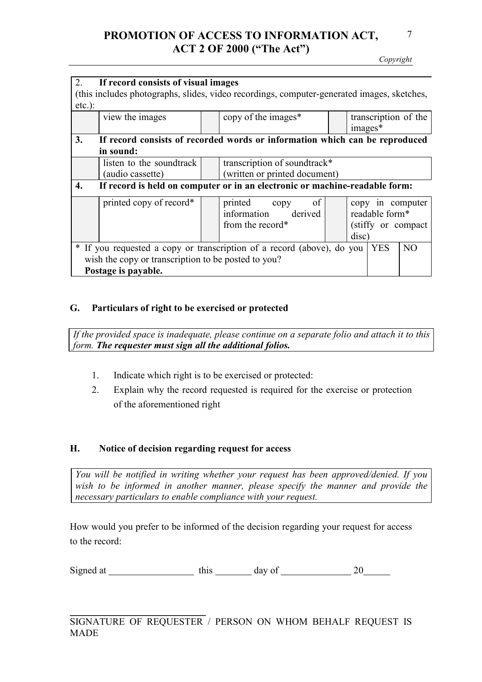# **PROMOTION OF ACCESS TO INFORMATION ACT, ACT 2 OF 2000 ("The Act")**

*Copyright* 

| 2.                                                  | If record consists of visual images                                                                     |  |                                                                                            |  |                                 |  |
|-----------------------------------------------------|---------------------------------------------------------------------------------------------------------|--|--------------------------------------------------------------------------------------------|--|---------------------------------|--|
|                                                     |                                                                                                         |  | (this includes photographs, slides, video recordings, computer-generated images, sketches, |  |                                 |  |
| $etc.$ ):                                           |                                                                                                         |  |                                                                                            |  |                                 |  |
|                                                     | view the images                                                                                         |  | copy of the images*                                                                        |  | transcription of the<br>images* |  |
| 3.                                                  | If record consists of recorded words or information which can be reproduced                             |  |                                                                                            |  |                                 |  |
|                                                     | in sound:                                                                                               |  |                                                                                            |  |                                 |  |
|                                                     | listen to the soundtrack                                                                                |  | transcription of soundtrack*                                                               |  |                                 |  |
|                                                     | (audio cassette)                                                                                        |  | (written or printed document)                                                              |  |                                 |  |
| 4.                                                  | If record is held on computer or in an electronic or machine-readable form:                             |  |                                                                                            |  |                                 |  |
|                                                     | printed copy of record*                                                                                 |  | printed copy<br>of                                                                         |  | copy in computer                |  |
|                                                     |                                                                                                         |  | information derived                                                                        |  | readable form*                  |  |
|                                                     |                                                                                                         |  | from the record*                                                                           |  | (stiffy or compact)             |  |
|                                                     |                                                                                                         |  |                                                                                            |  | disc)                           |  |
|                                                     | * If you requested a copy or transcription of a record (above), do you<br>NO <sub>1</sub><br><b>YES</b> |  |                                                                                            |  |                                 |  |
| wish the copy or transcription to be posted to you? |                                                                                                         |  |                                                                                            |  |                                 |  |
| Postage is payable.                                 |                                                                                                         |  |                                                                                            |  |                                 |  |

## **G. Particulars of right to be exercised or protected**

*If the provided space is inadequate, please continue on a separate folio and attach it to this form. The requester must sign all the additional folios.*

- 1. Indicate which right is to be exercised or protected:
- 2. Explain why the record requested is required for the exercise or protection of the aforementioned right

## **H. Notice of decision regarding request for access**

*You will be notified in writing whether your request has been approved/denied. If you*  wish to be informed in another manner, please specify the manner and provide the *necessary particulars to enable compliance with your request.*

How would you prefer to be informed of the decision regarding your request for access to the record:

Signed at  $\frac{\text{this} \cdot \text{days of}}{20}$ 

 $\overline{\phantom{a}}$  , where  $\overline{\phantom{a}}$  , where  $\overline{\phantom{a}}$  ,  $\overline{\phantom{a}}$  ,  $\overline{\phantom{a}}$  ,  $\overline{\phantom{a}}$  ,  $\overline{\phantom{a}}$  ,  $\overline{\phantom{a}}$  ,  $\overline{\phantom{a}}$  ,  $\overline{\phantom{a}}$  ,  $\overline{\phantom{a}}$  ,  $\overline{\phantom{a}}$  ,  $\overline{\phantom{a}}$  ,  $\overline{\phantom{a}}$  ,  $\overline{\phantom{a}}$  , SIGNATURE OF REQUESTER / PERSON ON WHOM BEHALF REQUEST IS MADE